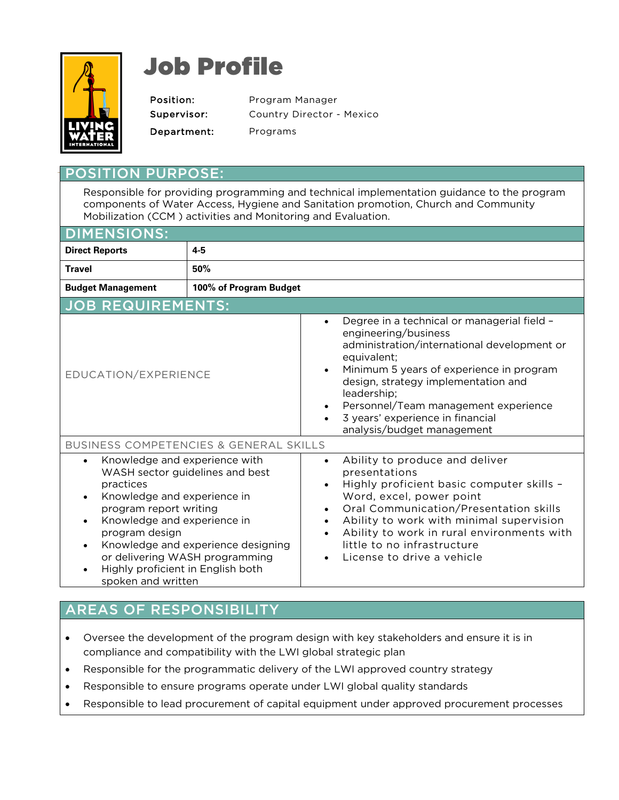

## Job Profile

Position: Program Manager Supervisor: Country Director - Mexico Department: Programs

## PURPOSE:

Responsible for providing programming and technical implementation guidance to the program components of Water Access, Hygiene and Sanitation promotion, Church and Community Mobilization (CCM ) activities and Monitoring and Evaluation.

| <b>DIMENSIONS:</b>                                                                                                                                                                                                                                                                                                                                   |         |                                                                                                                                                                                                                                                                                                                                                                               |
|------------------------------------------------------------------------------------------------------------------------------------------------------------------------------------------------------------------------------------------------------------------------------------------------------------------------------------------------------|---------|-------------------------------------------------------------------------------------------------------------------------------------------------------------------------------------------------------------------------------------------------------------------------------------------------------------------------------------------------------------------------------|
| <b>Direct Reports</b>                                                                                                                                                                                                                                                                                                                                | $4 - 5$ |                                                                                                                                                                                                                                                                                                                                                                               |
| <b>Travel</b>                                                                                                                                                                                                                                                                                                                                        | 50%     |                                                                                                                                                                                                                                                                                                                                                                               |
| 100% of Program Budget<br><b>Budget Management</b>                                                                                                                                                                                                                                                                                                   |         |                                                                                                                                                                                                                                                                                                                                                                               |
| <b>JOB REQUIREMENTS:</b>                                                                                                                                                                                                                                                                                                                             |         |                                                                                                                                                                                                                                                                                                                                                                               |
| EDUCATION/EXPERIENCE                                                                                                                                                                                                                                                                                                                                 |         | Degree in a technical or managerial field -<br>$\bullet$<br>engineering/business<br>administration/international development or<br>equivalent;<br>Minimum 5 years of experience in program<br>design, strategy implementation and<br>leadership;<br>Personnel/Team management experience<br>3 years' experience in financial<br>$\bullet$<br>analysis/budget management       |
| <b>BUSINESS COMPETENCIES &amp; GENERAL SKILLS</b>                                                                                                                                                                                                                                                                                                    |         |                                                                                                                                                                                                                                                                                                                                                                               |
| Knowledge and experience with<br>$\bullet$<br>WASH sector guidelines and best<br>practices<br>Knowledge and experience in<br>$\bullet$<br>program report writing<br>Knowledge and experience in<br>program design<br>Knowledge and experience designing<br>or delivering WASH programming<br>Highly proficient in English both<br>spoken and written |         | Ability to produce and deliver<br>$\bullet$<br>presentations<br>Highly proficient basic computer skills -<br>Word, excel, power point<br>Oral Communication/Presentation skills<br>$\bullet$<br>Ability to work with minimal supervision<br>$\bullet$<br>Ability to work in rural environments with<br>$\bullet$<br>little to no infrastructure<br>License to drive a vehicle |

## AREAS OF RESPONSIBILITY

- Oversee the development of the program design with key stakeholders and ensure it is in compliance and compatibility with the LWI global strategic plan
- Responsible for the programmatic delivery of the LWI approved country strategy
- Responsible to ensure programs operate under LWI global quality standards
- Responsible to lead procurement of capital equipment under approved procurement processes